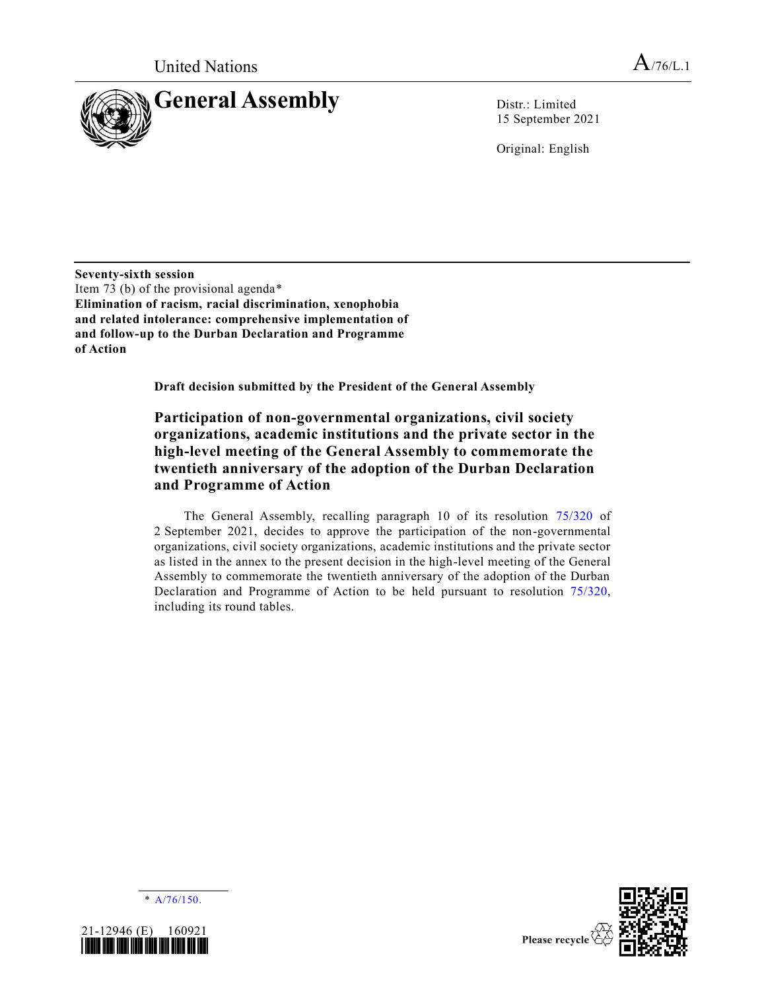

15 September 2021

Original: English

**Seventy-sixth session** Item 73 (b) of the provisional agenda\* **Elimination of racism, racial discrimination, xenophobia and related intolerance: comprehensive implementation of and follow-up to the Durban Declaration and Programme of Action**

**Draft decision submitted by the President of the General Assembly**

## **Participation of non-governmental organizations, civil society organizations, academic institutions and the private sector in the high-level meeting of the General Assembly to commemorate the twentieth anniversary of the adoption of the Durban Declaration and Programme of Action**

The General Assembly, recalling paragraph 10 of its resolution [75/320](https://undocs.org/en/A/RES/75/320) of 2 September 2021, decides to approve the participation of the non-governmental organizations, civil society organizations, academic institutions and the private sector as listed in the annex to the present decision in the high-level meeting of the General Assembly to commemorate the twentieth anniversary of the adoption of the Durban Declaration and Programme of Action to be held pursuant to resolution [75/320,](https://undocs.org/en/A/RES/75/320) including its round tables.





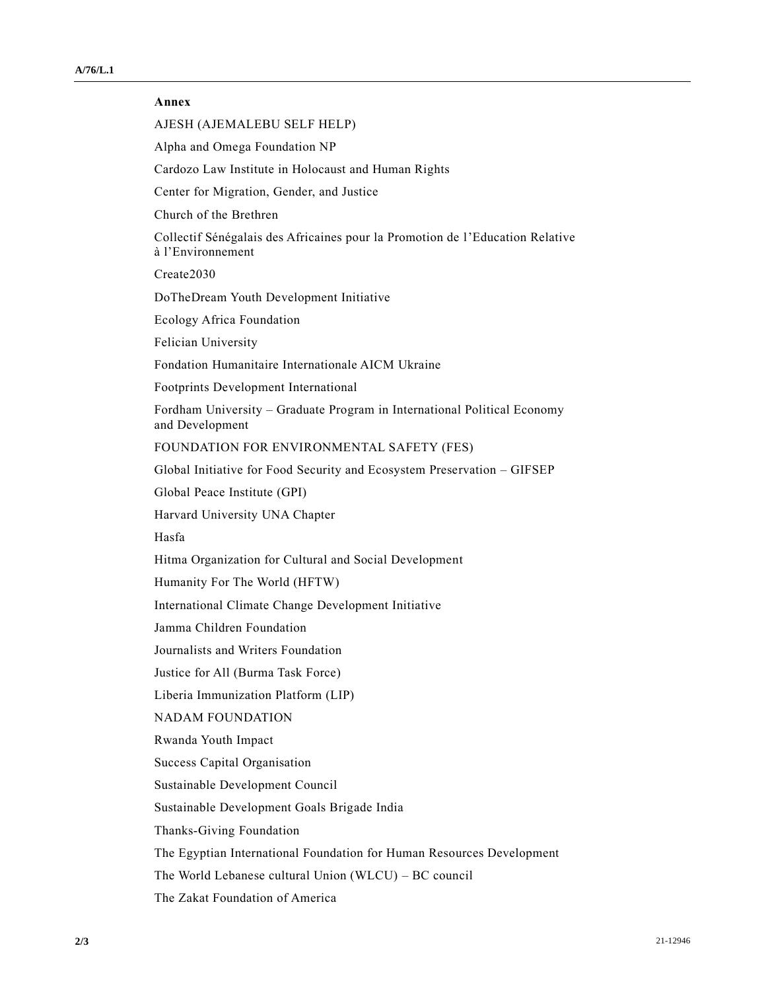## **Annex**

AJESH (AJEMALEBU SELF HELP)

Alpha and Omega Foundation NP

Cardozo Law Institute in Holocaust and Human Rights

Center for Migration, Gender, and Justice

Church of the Brethren

Collectif Sénégalais des Africaines pour la Promotion de l'Education Relative à l'Environnement

Create2030

DoTheDream Youth Development Initiative

Ecology Africa Foundation

Felician University

Fondation Humanitaire Internationale AICM Ukraine

Footprints Development International

Fordham University – Graduate Program in International Political Economy and Development

FOUNDATION FOR ENVIRONMENTAL SAFETY (FES)

Global Initiative for Food Security and Ecosystem Preservation – GIFSEP

Global Peace Institute (GPI)

Harvard University UNA Chapter

Hasfa

Hitma Organization for Cultural and Social Development

Humanity For The World (HFTW)

International Climate Change Development Initiative

Jamma Children Foundation

Journalists and Writers Foundation

Justice for All (Burma Task Force)

Liberia Immunization Platform (LIP)

NADAM FOUNDATION

Rwanda Youth Impact

Success Capital Organisation

Sustainable Development Council

Sustainable Development Goals Brigade India

Thanks-Giving Foundation

The Egyptian International Foundation for Human Resources Development

The World Lebanese cultural Union (WLCU) – BC council

The Zakat Foundation of America